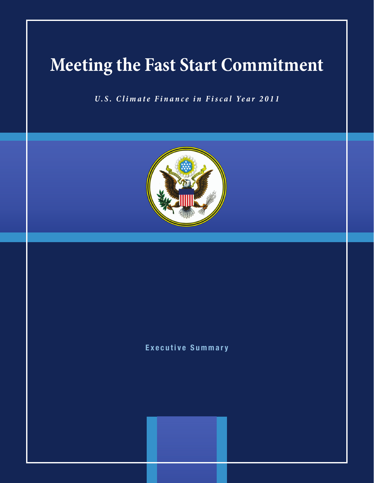# **Meeting the Fast Start Commitment**

*U.S. Climate Finance in Fi scal Year 2011*



# Executive Summary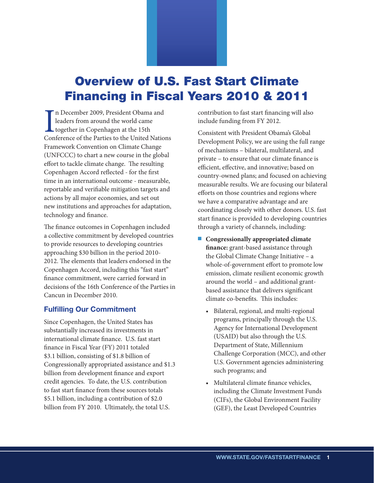# Overview of U.S. Fast Start Climate Financing in Fiscal Years 2010 & 2011

In December 2009, President Obama and<br>leaders from around the world came<br>together in Copenhagen at the 15th<br>Conference of the Parties to the United Nations n December 2009, President Obama and leaders from around the world came together in Copenhagen at the 15th Framework Convention on Climate Change (UNFCCC) to chart a new course in the global effort to tackle climate change. The resulting Copenhagen Accord reflected - for the first time in an international outcome - measurable, reportable and verifiable mitigation targets and actions by all major economies, and set out new institutions and approaches for adaptation, technology and finance.

The finance outcomes in Copenhagen included a collective commitment by developed countries to provide resources to developing countries approaching \$30 billion in the period 2010- 2012. The elements that leaders endorsed in the Copenhagen Accord, including this "fast start" finance commitment, were carried forward in decisions of the 16th Conference of the Parties in Cancun in December 2010.

# Fulfilling Our Commitment

Since Copenhagen, the United States has substantially increased its investments in international climate finance. U.S. fast start finance in Fiscal Year (FY) 2011 totaled \$3.1 billion, consisting of \$1.8 billion of Congressionally appropriated assistance and \$1.3 billion from development finance and export credit agencies. To date, the U.S. contribution to fast start finance from these sources totals \$5.1 billion, including a contribution of \$2.0 billion from FY 2010. Ultimately, the total U.S.

contribution to fast start financing will also include funding from FY 2012.

Consistent with President Obama's Global Development Policy, we are using the full range of mechanisms – bilateral, multilateral, and private – to ensure that our climate finance is efficient, effective, and innovative; based on country-owned plans; and focused on achieving measurable results. We are focusing our bilateral efforts on those countries and regions where we have a comparative advantage and are coordinating closely with other donors. U.S. fast start finance is provided to developing countries through a variety of channels, including:

- Congressionally appropriated climate **finance:** grant-based assistance through the Global Climate Change Initiative – a whole-of-government effort to promote low emission, climate resilient economic growth around the world – and additional grantbased assistance that delivers significant climate co-benefits. This includes:
	- • Bilateral, regional, and multi-regional programs, principally through the U.S. Agency for International Development (USAID) but also through the U.S. Department of State, Millennium Challenge Corporation (MCC), and other U.S. Government agencies administering such programs; and
	- • Multilateral climate finance vehicles, including the Climate Investment Funds (CIFs), the Global Environment Facility (GEF), the Least Developed Countries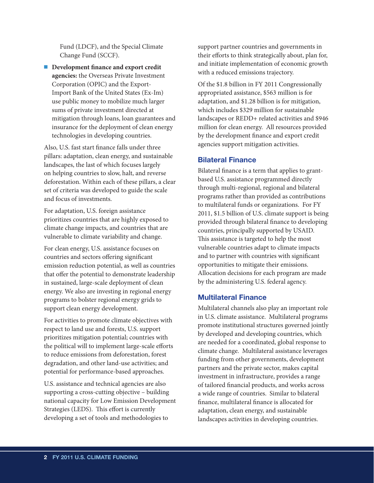Fund (LDCF), and the Special Climate Change Fund (SCCF).

■ Development finance and export credit **agencies:** the Overseas Private Investment Corporation (OPIC) and the Export-Import Bank of the United States (Ex-Im) use public money to mobilize much larger sums of private investment directed at mitigation through loans, loan guarantees and insurance for the deployment of clean energy technologies in developing countries.

Also, U.S. fast start finance falls under three pillars: adaptation, clean energy, and sustainable landscapes, the last of which focuses largely on helping countries to slow, halt, and reverse deforestation. Within each of these pillars, a clear set of criteria was developed to guide the scale and focus of investments.

For adaptation, U.S. foreign assistance prioritizes countries that are highly exposed to climate change impacts, and countries that are vulnerable to climate variability and change.

For clean energy, U.S. assistance focuses on countries and sectors offering significant emission reduction potential, as well as countries that offer the potential to demonstrate leadership in sustained, large-scale deployment of clean energy. We also are investing in regional energy programs to bolster regional energy grids to support clean energy development.

For activities to promote climate objectives with respect to land use and forests, U.S. support prioritizes mitigation potential; countries with the political will to implement large-scale efforts to reduce emissions from deforestation, forest degradation, and other land-use activities; and potential for performance-based approaches.

U.S. assistance and technical agencies are also supporting a cross-cutting objective – building national capacity for Low Emission Development Strategies (LEDS). This effort is currently developing a set of tools and methodologies to

support partner countries and governments in their efforts to think strategically about, plan for, and initiate implementation of economic growth with a reduced emissions trajectory.

Of the \$1.8 billion in FY 2011 Congressionally appropriated assistance, \$563 million is for adaptation, and \$1.28 billion is for mitigation, which includes \$329 million for sustainable landscapes or REDD+ related activities and \$946 million for clean energy. All resources provided by the development finance and export credit agencies support mitigation activities.

### Bilateral Finance

Bilateral finance is a term that applies to grantbased U.S. assistance programmed directly through multi-regional, regional and bilateral programs rather than provided as contributions to multilateral funds or organizations. For FY 2011, \$1.5 billion of U.S. climate support is being provided through bilateral finance to developing countries, principally supported by USAID. This assistance is targeted to help the most vulnerable countries adapt to climate impacts and to partner with countries with significant opportunities to mitigate their emissions. Allocation decisions for each program are made by the administering U.S. federal agency.

### Multilateral Finance

Multilateral channels also play an important role in U.S. climate assistance. Multilateral programs promote institutional structures governed jointly by developed and developing countries, which are needed for a coordinated, global response to climate change. Multilateral assistance leverages funding from other governments, development partners and the private sector, makes capital investment in infrastructure, provides a range of tailored financial products, and works across a wide range of countries. Similar to bilateral finance, multilateral finance is allocated for adaptation, clean energy, and sustainable landscapes activities in developing countries.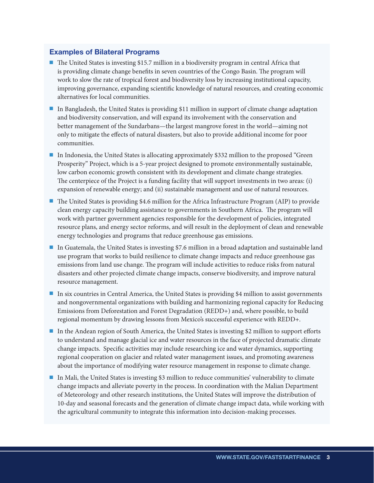# Examples of Bilateral Programs

- The United States is investing \$15.7 million in a biodiversity program in central Africa that is providing climate change benefits in seven countries of the Congo Basin. The program will work to slow the rate of tropical forest and biodiversity loss by increasing institutional capacity, improving governance, expanding scientific knowledge of natural resources, and creating economic alternatives for local communities.
- In Bangladesh, the United States is providing \$11 million in support of climate change adaptation and biodiversity conservation, and will expand its involvement with the conservation and better management of the Sundarbans—the largest mangrove forest in the world—aiming not only to mitigate the effects of natural disasters, but also to provide additional income for poor communities.
- In Indonesia, the United States is allocating approximately \$332 million to the proposed "Green" Prosperity" Project, which is a 5-year project designed to promote environmentally sustainable, low carbon economic growth consistent with its development and climate change strategies. The centerpiece of the Project is a funding facility that will support investments in two areas: (i) expansion of renewable energy; and (ii) sustainable management and use of natural resources.
- The United States is providing \$4.6 million for the Africa Infrastructure Program (AIP) to provide clean energy capacity building assistance to governments in Southern Africa. The program will work with partner government agencies responsible for the development of policies, integrated resource plans, and energy sector reforms, and will result in the deployment of clean and renewable energy technologies and programs that reduce greenhouse gas emissions.
- In Guatemala, the United States is investing \$7.6 million in a broad adaptation and sustainable land use program that works to build resilience to climate change impacts and reduce greenhouse gas emissions from land use change. The program will include activities to reduce risks from natural disasters and other projected climate change impacts, conserve biodiversity, and improve natural resource management.
- In six countries in Central America, the United States is providing \$4 million to assist governments and nongovernmental organizations with building and harmonizing regional capacity for Reducing Emissions from Deforestation and Forest Degradation (REDD+) and, where possible, to build regional momentum by drawing lessons from Mexico's successful experience with REDD+.
- In the Andean region of South America, the United States is investing \$2 million to support efforts to understand and manage glacial ice and water resources in the face of projected dramatic climate change impacts. Specific activities may include researching ice and water dynamics, supporting regional cooperation on glacier and related water management issues, and promoting awareness about the importance of modifying water resource management in response to climate change.
- In Mali, the United States is investing \$3 million to reduce communities' vulnerability to climate change impacts and alleviate poverty in the process. In coordination with the Malian Department of Meteorology and other research institutions, the United States will improve the distribution of 10-day and seasonal forecasts and the generation of climate change impact data, while working with the agricultural community to integrate this information into decision-making processes.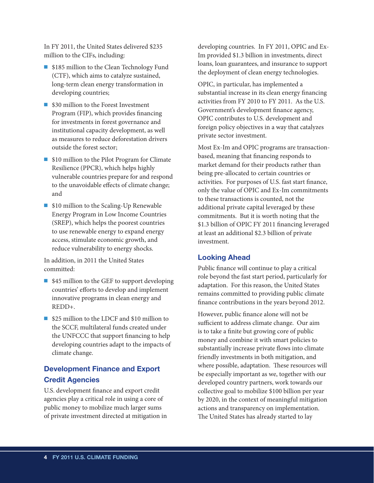In FY 2011, the United States delivered \$235 million to the CIFs, including:

- \$185 million to the Clean Technology Fund (CTF), which aims to catalyze sustained, long-term clean energy transformation in developing countries;
- \$30 million to the Forest Investment Program (FIP), which provides financing for investments in forest governance and institutional capacity development, as well as measures to reduce deforestation drivers outside the forest sector;
- \$10 million to the Pilot Program for Climate Resilience (PPCR), which helps highly vulnerable countries prepare for and respond to the unavoidable effects of climate change; and
- \$10 million to the Scaling-Up Renewable Energy Program in Low Income Countries (SREP), which helps the poorest countries to use renewable energy to expand energy access, stimulate economic growth, and reduce vulnerability to energy shocks.

In addition, in 2011 the United States committed:

- $\blacksquare$  \$45 million to the GEF to support developing countries' efforts to develop and implement innovative programs in clean energy and REDD+.
- \$25 million to the LDCF and \$10 million to the SCCF, multilateral funds created under the UNFCCC that support financing to help developing countries adapt to the impacts of climate change.

# Development Finance and Export Credit Agencies

U.S. development finance and export credit agencies play a critical role in using a core of public money to mobilize much larger sums of private investment directed at mitigation in developing countries. In FY 2011, OPIC and Ex-Im provided \$1.3 billion in investments, direct loans, loan guarantees, and insurance to support the deployment of clean energy technologies.

OPIC, in particular, has implemented a substantial increase in its clean energy financing activities from FY 2010 to FY 2011. As the U.S. Government's development finance agency, OPIC contributes to U.S. development and foreign policy objectives in a way that catalyzes private sector investment.

Most Ex-Im and OPIC programs are transactionbased, meaning that financing responds to market demand for their products rather than being pre-allocated to certain countries or activities. For purposes of U.S. fast start finance, only the value of OPIC and Ex-Im commitments to these transactions is counted, not the additional private capital leveraged by these commitments. But it is worth noting that the \$1.3 billion of OPIC FY 2011 financing leveraged at least an additional \$2.3 billion of private investment.

### Looking Ahead

Public finance will continue to play a critical role beyond the fast start period, particularly for adaptation. For this reason, the United States remains committed to providing public climate finance contributions in the years beyond 2012.

However, public finance alone will not be sufficient to address climate change. Our aim is to take a finite but growing core of public money and combine it with smart policies to substantially increase private flows into climate friendly investments in both mitigation, and where possible, adaptation. These resources will be especially important as we, together with our developed country partners, work towards our collective goal to mobilize \$100 billion per year by 2020, in the context of meaningful mitigation actions and transparency on implementation. The United States has already started to lay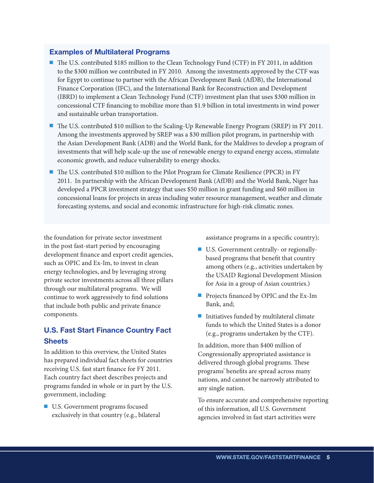# Examples of Multilateral Programs

- The U.S. contributed \$185 million to the Clean Technology Fund (CTF) in FY 2011, in addition to the \$300 million we contributed in FY 2010. Among the investments approved by the CTF was for Egypt to continue to partner with the African Development Bank (AfDB), the International Finance Corporation (IFC), and the International Bank for Reconstruction and Development (IBRD) to implement a Clean Technology Fund (CTF) investment plan that uses \$300 million in concessional CTF financing to mobilize more than \$1.9 billion in total investments in wind power and sustainable urban transportation.
- The U.S. contributed \$10 million to the Scaling-Up Renewable Energy Program (SREP) in FY 2011. Among the investments approved by SREP was a \$30 million pilot program, in partnership with the Asian Development Bank (ADB) and the World Bank, for the Maldives to develop a program of investments that will help scale-up the use of renewable energy to expand energy access, stimulate economic growth, and reduce vulnerability to energy shocks.
- The U.S. contributed \$10 million to the Pilot Program for Climate Resilience (PPCR) in FY 2011. In partnership with the African Development Bank (AfDB) and the World Bank, Niger has developed a PPCR investment strategy that uses \$50 million in grant funding and \$60 million in concessional loans for projects in areas including water resource management, weather and climate forecasting systems, and social and economic infrastructure for high-risk climatic zones.

the foundation for private sector investment in the post fast-start period by encouraging development finance and export credit agencies, such as OPIC and Ex-Im, to invest in clean energy technologies, and by leveraging strong private sector investments across all three pillars through our multilateral programs. We will continue to work aggressively to find solutions that include both public and private finance components.

# U.S. Fast Start Finance Country Fact **Sheets**

In addition to this overview, the United States has prepared individual fact sheets for countries receiving U.S. fast start finance for FY 2011. Each country fact sheet describes projects and programs funded in whole or in part by the U.S. government, including:

■ U.S. Government programs focused exclusively in that country (e.g., bilateral assistance programs in a specific country);

- U.S. Government centrally- or regionallybased programs that benefit that country among others (e.g., activities undertaken by the USAID Regional Development Mission for Asia in a group of Asian countries.)
- Projects financed by OPIC and the Ex-Im Bank, and;
- $\blacksquare$  Initiatives funded by multilateral climate funds to which the United States is a donor (e.g., programs undertaken by the CTF).

In addition, more than \$400 million of Congressionally appropriated assistance is delivered through global programs. These programs' benefits are spread across many nations, and cannot be narrowly attributed to any single nation.

To ensure accurate and comprehensive reporting of this information, all U.S. Government agencies involved in fast start activities were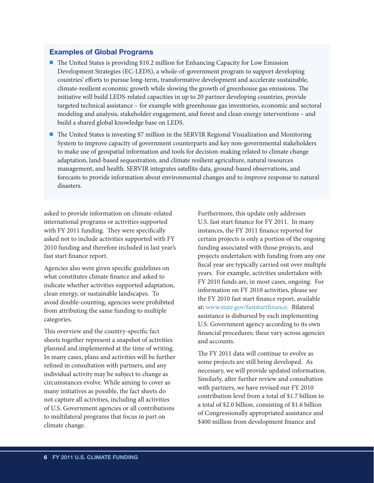#### Examples of Global Programs

- The United States is providing \$10.2 million for Enhancing Capacity for Low Emission Development Strategies (EC-LEDS), a whole-of-government program to support developing countries' efforts to pursue long-term, transformative development and accelerate sustainable, climate-resilient economic growth while slowing the growth of greenhouse gas emissions. The initiative will build LEDS-related capacities in up to 20 partner developing countries, provide targeted technical assistance – for example with greenhouse gas inventories, economic and sectoral modeling and analysis, stakeholder engagement, and forest and clean energy interventions – and build a shared global knowledge base on LEDS.
- The United States is investing \$7 million in the SERVIR Regional Visualization and Monitoring System to improve capacity of government counterparts and key non-governmental stakeholders to make use of geospatial information and tools for decision-making related to climate change adaptation, land-based sequestration, and climate resilient agriculture, natural resources management, and health. SERVIR integrates satellite data, ground-based observations, and forecasts to provide information about environmental changes and to improve response to natural disasters.

asked to provide information on climate-related international programs or activities supported with FY 2011 funding. They were specifically asked not to include activities supported with FY 2010 funding and therefore included in last year's fast start finance report.

Agencies also were given specific guidelines on what constitutes climate finance and asked to indicate whether activities supported adaptation, clean energy, or sustainable landscapes. To avoid double-counting, agencies were prohibited from attributing the same funding to multiple categories.

This overview and the country-specific fact sheets together represent a snapshot of activities planned and implemented at the time of writing. In many cases, plans and activities will be further refined in consultation with partners, and any individual activity may be subject to change as circumstances evolve. While aiming to cover as many initiatives as possible, the fact sheets do not capture all activities, including all activities of U.S. Government agencies or all contributions to multilateral programs that focus in part on climate change.

Furthermore, this update only addresses U.S. fast start finance for FY 2011. In many instances, the FY 2011 finance reported for certain projects is only a portion of the ongoing funding associated with those projects, and projects undertaken with funding from any one fiscal year are typically carried out over multiple years. For example, activities undertaken with FY 2010 funds are, in most cases, ongoing. For information on FY 2010 activities, please see the FY 2010 fast start finance report, available at: www.state.gov/faststartfinance. Bilateral assistance is disbursed by each implementing U.S. Government agency according to its own financial procedures; these vary across agencies and accounts.

The FY 2011 data will continue to evolve as some projects are still being developed. As necessary, we will provide updated information. Similarly, after further review and consultation with partners, we have revised our FY 2010 contribution level from a total of \$1.7 billion to a total of \$2.0 billion, consisting of \$1.6 billion of Congressionally appropriated assistance and \$400 million from development finance and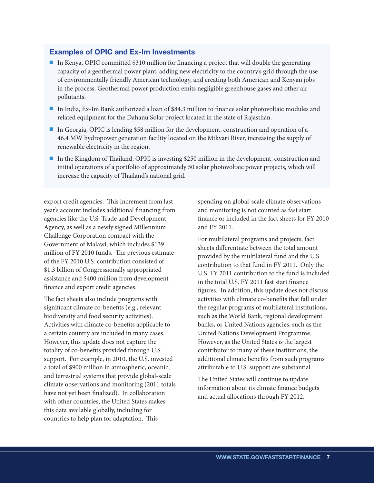#### Examples of OPIC and Ex-Im Investments

- In Kenya, OPIC committed \$310 million for financing a project that will double the generating capacity of a geothermal power plant, adding new electricity to the country's grid through the use of environmentally friendly American technology, and creating both American and Kenyan jobs in the process. Geothermal power production emits negligible greenhouse gases and other air pollutants.
- Q In India, Ex-Im Bank authorized a loan of \$84.3 million to finance solar photovoltaic modules and related equipment for the Dahanu Solar project located in the state of Rajasthan.
- In Georgia, OPIC is lending \$58 million for the development, construction and operation of a 46.4 MW hydropower generation facility located on the Mtkvari River, increasing the supply of renewable electricity in the region.
- In the Kingdom of Thailand, OPIC is investing \$250 million in the development, construction and initial operations of a portfolio of approximately 50 solar photovoltaic power projects, which will increase the capacity of Thailand's national grid.

export credit agencies. This increment from last year's account includes additional financing from agencies like the U.S. Trade and Development Agency, as well as a newly signed Millennium Challenge Corporation compact with the Government of Malawi, which includes \$139 million of FY 2010 funds. The previous estimate of the FY 2010 U.S. contribution consisted of \$1.3 billion of Congressionally appropriated assistance and \$400 million from development finance and export credit agencies.

The fact sheets also include programs with significant climate co-benefits (e.g., relevant biodiversity and food security activities). Activities with climate co-benefits applicable to a certain country are included in many cases. However, this update does not capture the totality of co-benefits provided through U.S. support. For example, in 2010, the U.S. invested a total of \$900 million in atmospheric, oceanic, and terrestrial systems that provide global-scale climate observations and monitoring (2011 totals have not yet been finalized). In collaboration with other countries, the United States makes this data available globally, including for countries to help plan for adaptation. This

spending on global-scale climate observations and monitoring is not counted as fast start finance or included in the fact sheets for FY 2010 and FY 2011.

For multilateral programs and projects, fact sheets differentiate between the total amount provided by the multilateral fund and the U.S. contribution to that fund in FY 2011. Only the U.S. FY 2011 contribution to the fund is included in the total U.S. FY 2011 fast start finance figures. In addition, this update does not discuss activities with climate co-benefits that fall under the regular programs of multilateral institutions, such as the World Bank, regional development banks, or United Nations agencies, such as the United Nations Development Programme. However, as the United States is the largest contributor to many of these institutions, the additional climate benefits from such programs attributable to U.S. support are substantial.

The United States will continue to update information about its climate finance budgets and actual allocations through FY 2012.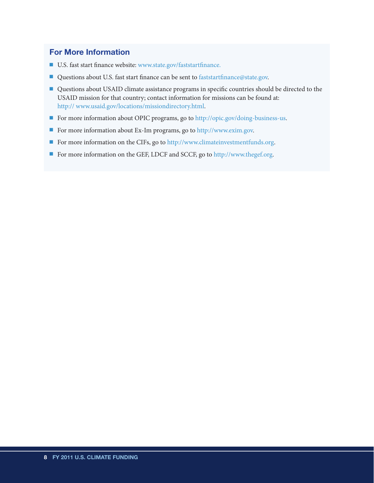# For More Information

- U.S. fast start finance website: www.state.gov/faststartfinance.
- Questions about U.S. fast start finance can be sent to faststartfinance@state.gov.
- Questions about USAID climate assistance programs in specific countries should be directed to the USAID mission for that country; contact information for missions can be found at: http:// www.usaid.gov/locations/missiondirectory.html.
- For more information about OPIC programs, go to http://opic.gov/doing-business-us.
- For more information about Ex-Im programs, go to http://www.exim.gov.
- For more information on the CIFs, go to http://www.climateinvestmentfunds.org.
- For more information on the GEF, LDCF and SCCF, go to http://www.thegef.org.